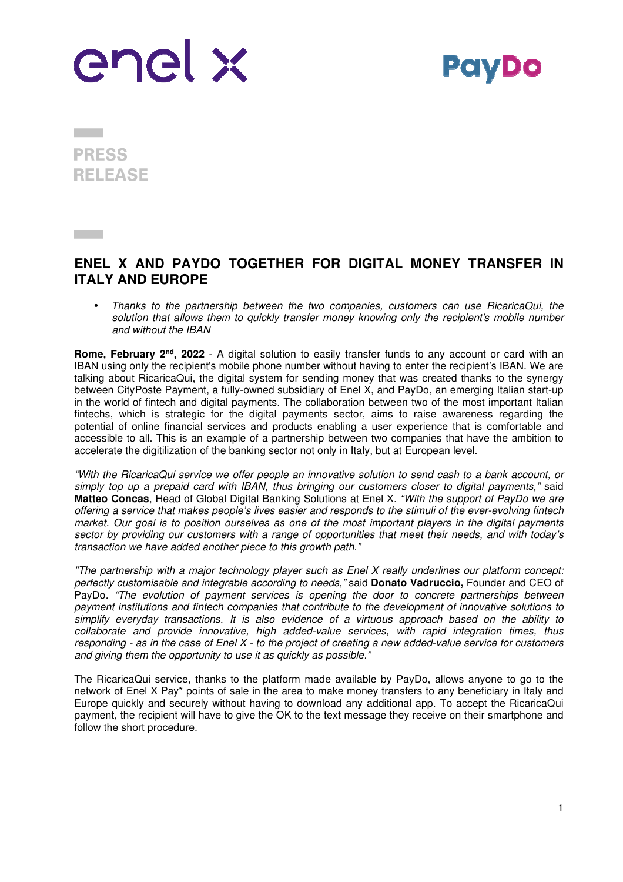



**PRESS RELEASE** 

**Contract** 

## **ENEL X AND PAYDO TOGETHER FOR DIGITAL MONEY TRANSFER IN ITALY AND EUROPE**

• *Thanks to the partnership between the two companies, customers can use RicaricaQui, the solution that allows them to quickly transfer money knowing only the recipient's mobile number and without the IBAN* 

**Rome, February 2nd, 2022** - A digital solution to easily transfer funds to any account or card with an IBAN using only the recipient's mobile phone number without having to enter the recipient's IBAN. We are talking about RicaricaQui, the digital system for sending money that was created thanks to the synergy between CityPoste Payment, a fully-owned subsidiary of Enel X, and PayDo, an emerging Italian start-up in the world of fintech and digital payments. The collaboration between two of the most important Italian fintechs, which is strategic for the digital payments sector, aims to raise awareness regarding the potential of online financial services and products enabling a user experience that is comfortable and accessible to all. This is an example of a partnership between two companies that have the ambition to accelerate the digitilization of the banking sector not only in Italy, but at European level.

*"With the RicaricaQui service we offer people an innovative solution to send cash to a bank account, or simply top up a prepaid card with IBAN, thus bringing our customers closer to digital payments,"* said **Matteo Concas**, Head of Global Digital Banking Solutions at Enel X. *"With the support of PayDo we are offering a service that makes people's lives easier and responds to the stimuli of the ever-evolving fintech market. Our goal is to position ourselves as one of the most important players in the digital payments sector by providing our customers with a range of opportunities that meet their needs, and with today's transaction we have added another piece to this growth path."*

*"The partnership with a major technology player such as Enel X really underlines our platform concept: perfectly customisable and integrable according to needs,"* said **Donato Vadruccio,** Founder and CEO of PayDo*. "The evolution of payment services is opening the door to concrete partnerships between payment institutions and fintech companies that contribute to the development of innovative solutions to simplify everyday transactions. It is also evidence of a virtuous approach based on the ability to collaborate and provide innovative, high added-value services, with rapid integration times, thus responding - as in the case of Enel X - to the project of creating a new added-value service for customers and giving them the opportunity to use it as quickly as possible."* 

The RicaricaQui service, thanks to the platform made available by PayDo, allows anyone to go to the network of Enel X Pay\* points of sale in the area to make money transfers to any beneficiary in Italy and Europe quickly and securely without having to download any additional app. To accept the RicaricaQui payment, the recipient will have to give the OK to the text message they receive on their smartphone and follow the short procedure.